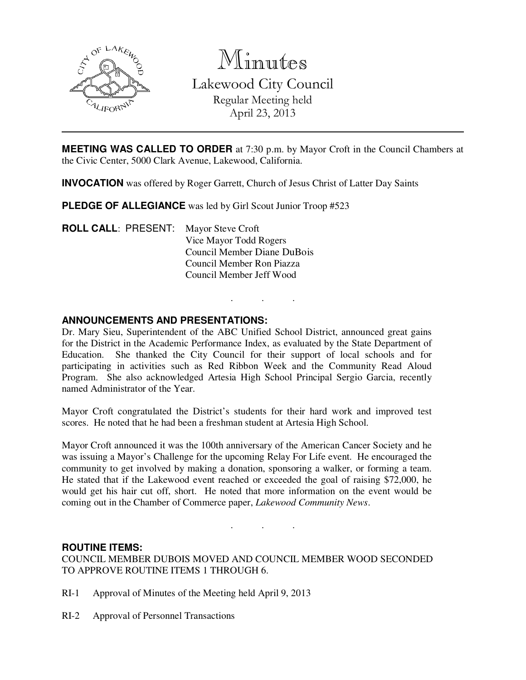

Minutes

Lakewood City Council Regular Meeting held April 23, 2013

**MEETING WAS CALLED TO ORDER** at 7:30 p.m. by Mayor Croft in the Council Chambers at the Civic Center, 5000 Clark Avenue, Lakewood, California.

**INVOCATION** was offered by Roger Garrett, Church of Jesus Christ of Latter Day Saints

**PLEDGE OF ALLEGIANCE** was led by Girl Scout Junior Troop #523

**ROLL CALL**: PRESENT: Mayor Steve Croft Vice Mayor Todd Rogers Council Member Diane DuBois Council Member Ron Piazza Council Member Jeff Wood

### **ANNOUNCEMENTS AND PRESENTATIONS:**

Dr. Mary Sieu, Superintendent of the ABC Unified School District, announced great gains for the District in the Academic Performance Index, as evaluated by the State Department of Education. She thanked the City Council for their support of local schools and for participating in activities such as Red Ribbon Week and the Community Read Aloud Program. She also acknowledged Artesia High School Principal Sergio Garcia, recently named Administrator of the Year.

. . .

Mayor Croft congratulated the District's students for their hard work and improved test scores. He noted that he had been a freshman student at Artesia High School.

Mayor Croft announced it was the 100th anniversary of the American Cancer Society and he was issuing a Mayor's Challenge for the upcoming Relay For Life event. He encouraged the community to get involved by making a donation, sponsoring a walker, or forming a team. He stated that if the Lakewood event reached or exceeded the goal of raising \$72,000, he would get his hair cut off, short. He noted that more information on the event would be coming out in the Chamber of Commerce paper, *Lakewood Community News*.

. . .

### **ROUTINE ITEMS:**

COUNCIL MEMBER DUBOIS MOVED AND COUNCIL MEMBER WOOD SECONDED TO APPROVE ROUTINE ITEMS 1 THROUGH 6.

- RI-1 Approval of Minutes of the Meeting held April 9, 2013
- RI-2 Approval of Personnel Transactions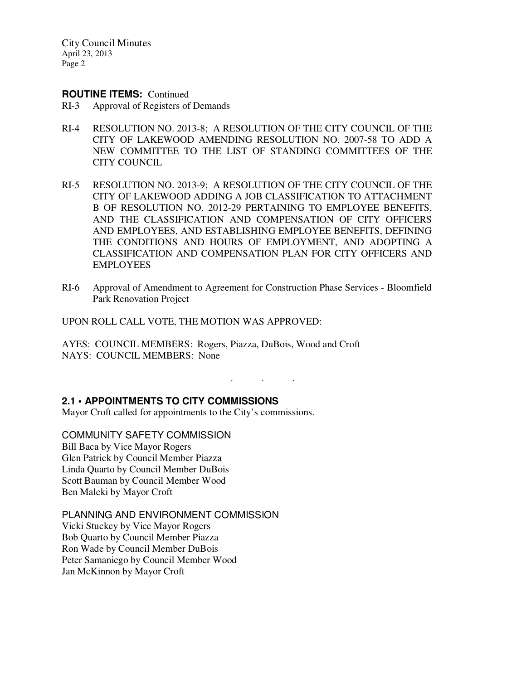#### **ROUTINE ITEMS:** Continued

- RI-3 Approval of Registers of Demands
- RI-4 RESOLUTION NO. 2013-8; A RESOLUTION OF THE CITY COUNCIL OF THE CITY OF LAKEWOOD AMENDING RESOLUTION NO. 2007-58 TO ADD A NEW COMMITTEE TO THE LIST OF STANDING COMMITTEES OF THE CITY COUNCIL
- RI-5 RESOLUTION NO. 2013-9; A RESOLUTION OF THE CITY COUNCIL OF THE CITY OF LAKEWOOD ADDING A JOB CLASSIFICATION TO ATTACHMENT B OF RESOLUTION NO. 2012-29 PERTAINING TO EMPLOYEE BENEFITS, AND THE CLASSIFICATION AND COMPENSATION OF CITY OFFICERS AND EMPLOYEES, AND ESTABLISHING EMPLOYEE BENEFITS, DEFINING THE CONDITIONS AND HOURS OF EMPLOYMENT, AND ADOPTING A CLASSIFICATION AND COMPENSATION PLAN FOR CITY OFFICERS AND **EMPLOYEES**
- RI-6 Approval of Amendment to Agreement for Construction Phase Services Bloomfield Park Renovation Project

. . .

UPON ROLL CALL VOTE, THE MOTION WAS APPROVED:

AYES: COUNCIL MEMBERS: Rogers, Piazza, DuBois, Wood and Croft NAYS: COUNCIL MEMBERS: None

## **2.1 • APPOINTMENTS TO CITY COMMISSIONS**

Mayor Croft called for appointments to the City's commissions.

COMMUNITY SAFETY COMMISSION

Bill Baca by Vice Mayor Rogers Glen Patrick by Council Member Piazza Linda Quarto by Council Member DuBois Scott Bauman by Council Member Wood Ben Maleki by Mayor Croft

PLANNING AND ENVIRONMENT COMMISSION

Vicki Stuckey by Vice Mayor Rogers Bob Quarto by Council Member Piazza Ron Wade by Council Member DuBois Peter Samaniego by Council Member Wood Jan McKinnon by Mayor Croft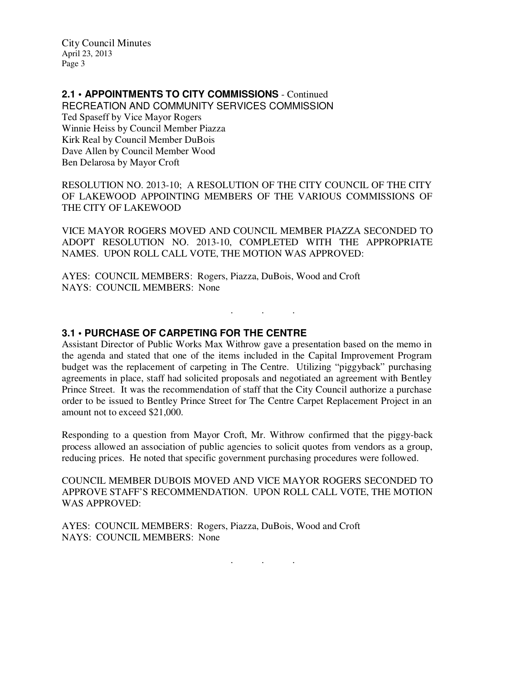# **2.1 • APPOINTMENTS TO CITY COMMISSIONS** - Continued

RECREATION AND COMMUNITY SERVICES COMMISSION Ted Spaseff by Vice Mayor Rogers Winnie Heiss by Council Member Piazza Kirk Real by Council Member DuBois Dave Allen by Council Member Wood Ben Delarosa by Mayor Croft

RESOLUTION NO. 2013-10; A RESOLUTION OF THE CITY COUNCIL OF THE CITY OF LAKEWOOD APPOINTING MEMBERS OF THE VARIOUS COMMISSIONS OF THE CITY OF LAKEWOOD

VICE MAYOR ROGERS MOVED AND COUNCIL MEMBER PIAZZA SECONDED TO ADOPT RESOLUTION NO. 2013-10, COMPLETED WITH THE APPROPRIATE NAMES. UPON ROLL CALL VOTE, THE MOTION WAS APPROVED:

AYES: COUNCIL MEMBERS: Rogers, Piazza, DuBois, Wood and Croft NAYS: COUNCIL MEMBERS: None

### **3.1 • PURCHASE OF CARPETING FOR THE CENTRE**

Assistant Director of Public Works Max Withrow gave a presentation based on the memo in the agenda and stated that one of the items included in the Capital Improvement Program budget was the replacement of carpeting in The Centre. Utilizing "piggyback" purchasing agreements in place, staff had solicited proposals and negotiated an agreement with Bentley Prince Street. It was the recommendation of staff that the City Council authorize a purchase order to be issued to Bentley Prince Street for The Centre Carpet Replacement Project in an amount not to exceed \$21,000.

. . .

Responding to a question from Mayor Croft, Mr. Withrow confirmed that the piggy-back process allowed an association of public agencies to solicit quotes from vendors as a group, reducing prices. He noted that specific government purchasing procedures were followed.

COUNCIL MEMBER DUBOIS MOVED AND VICE MAYOR ROGERS SECONDED TO APPROVE STAFF'S RECOMMENDATION. UPON ROLL CALL VOTE, THE MOTION WAS APPROVED:

AYES: COUNCIL MEMBERS: Rogers, Piazza, DuBois, Wood and Croft NAYS: COUNCIL MEMBERS: None

. . .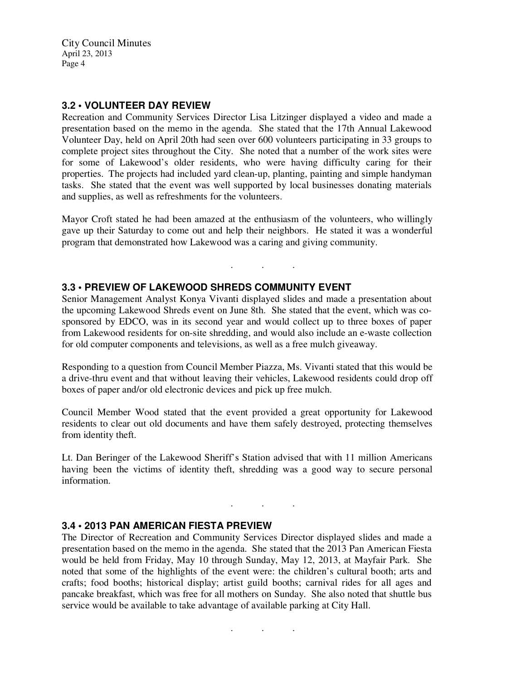#### **3.2 • VOLUNTEER DAY REVIEW**

Recreation and Community Services Director Lisa Litzinger displayed a video and made a presentation based on the memo in the agenda. She stated that the 17th Annual Lakewood Volunteer Day, held on April 20th had seen over 600 volunteers participating in 33 groups to complete project sites throughout the City. She noted that a number of the work sites were for some of Lakewood's older residents, who were having difficulty caring for their properties. The projects had included yard clean-up, planting, painting and simple handyman tasks. She stated that the event was well supported by local businesses donating materials and supplies, as well as refreshments for the volunteers.

Mayor Croft stated he had been amazed at the enthusiasm of the volunteers, who willingly gave up their Saturday to come out and help their neighbors. He stated it was a wonderful program that demonstrated how Lakewood was a caring and giving community.

. . .

#### **3.3 • PREVIEW OF LAKEWOOD SHREDS COMMUNITY EVENT**

Senior Management Analyst Konya Vivanti displayed slides and made a presentation about the upcoming Lakewood Shreds event on June 8th. She stated that the event, which was cosponsored by EDCO, was in its second year and would collect up to three boxes of paper from Lakewood residents for on-site shredding, and would also include an e-waste collection for old computer components and televisions, as well as a free mulch giveaway.

Responding to a question from Council Member Piazza, Ms. Vivanti stated that this would be a drive-thru event and that without leaving their vehicles, Lakewood residents could drop off boxes of paper and/or old electronic devices and pick up free mulch.

Council Member Wood stated that the event provided a great opportunity for Lakewood residents to clear out old documents and have them safely destroyed, protecting themselves from identity theft.

Lt. Dan Beringer of the Lakewood Sheriff's Station advised that with 11 million Americans having been the victims of identity theft, shredding was a good way to secure personal information.

. . .

#### **3.4 • 2013 PAN AMERICAN FIESTA PREVIEW**

The Director of Recreation and Community Services Director displayed slides and made a presentation based on the memo in the agenda. She stated that the 2013 Pan American Fiesta would be held from Friday, May 10 through Sunday, May 12, 2013, at Mayfair Park. She noted that some of the highlights of the event were: the children's cultural booth; arts and crafts; food booths; historical display; artist guild booths; carnival rides for all ages and pancake breakfast, which was free for all mothers on Sunday. She also noted that shuttle bus service would be available to take advantage of available parking at City Hall.

. . .